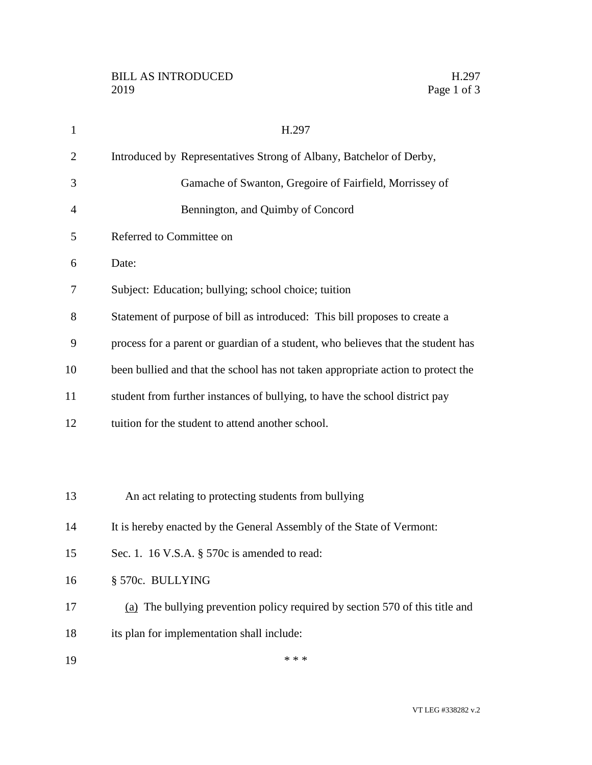| $\mathbf{1}$   | H.297                                                                            |
|----------------|----------------------------------------------------------------------------------|
| $\overline{2}$ | Introduced by Representatives Strong of Albany, Batchelor of Derby,              |
| 3              | Gamache of Swanton, Gregoire of Fairfield, Morrissey of                          |
| 4              | Bennington, and Quimby of Concord                                                |
| 5              | Referred to Committee on                                                         |
| 6              | Date:                                                                            |
| 7              | Subject: Education; bullying; school choice; tuition                             |
| 8              | Statement of purpose of bill as introduced: This bill proposes to create a       |
| 9              | process for a parent or guardian of a student, who believes that the student has |
| 10             | been bullied and that the school has not taken appropriate action to protect the |
| 11             | student from further instances of bullying, to have the school district pay      |
| 12             | tuition for the student to attend another school.                                |
|                |                                                                                  |
|                |                                                                                  |
| 13             | An act relating to protecting students from bullying                             |
| 14             | It is hereby enacted by the General Assembly of the State of Vermont:            |
| 15             | Sec. 1. 16 V.S.A. § 570c is amended to read:                                     |
| 16             | § 570c. BULLYING                                                                 |
| 17             | (a) The bullying prevention policy required by section 570 of this title and     |
| 18             | its plan for implementation shall include:                                       |
| 19             | * * *                                                                            |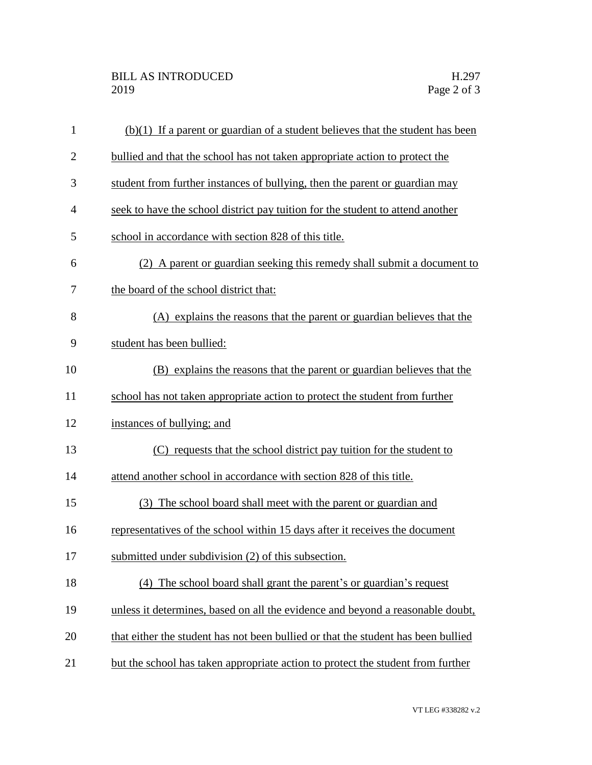| $\mathbf{1}$   | $(b)(1)$ If a parent or guardian of a student believes that the student has been  |
|----------------|-----------------------------------------------------------------------------------|
| $\overline{2}$ | bullied and that the school has not taken appropriate action to protect the       |
| 3              | student from further instances of bullying, then the parent or guardian may       |
| 4              | seek to have the school district pay tuition for the student to attend another    |
| 5              | school in accordance with section 828 of this title.                              |
| 6              | (2) A parent or guardian seeking this remedy shall submit a document to           |
| 7              | the board of the school district that:                                            |
| 8              | (A) explains the reasons that the parent or guardian believes that the            |
| 9              | student has been bullied:                                                         |
| 10             | (B) explains the reasons that the parent or guardian believes that the            |
| 11             | school has not taken appropriate action to protect the student from further       |
| 12             | instances of bullying; and                                                        |
| 13             | (C) requests that the school district pay tuition for the student to              |
| 14             | attend another school in accordance with section 828 of this title.               |
| 15             | (3) The school board shall meet with the parent or guardian and                   |
| 16             | representatives of the school within 15 days after it receives the document       |
| 17             | submitted under subdivision (2) of this subsection.                               |
| 18             | (4) The school board shall grant the parent's or guardian's request               |
| 19             | unless it determines, based on all the evidence and beyond a reasonable doubt,    |
| 20             | that either the student has not been bullied or that the student has been bullied |
| 21             | but the school has taken appropriate action to protect the student from further   |